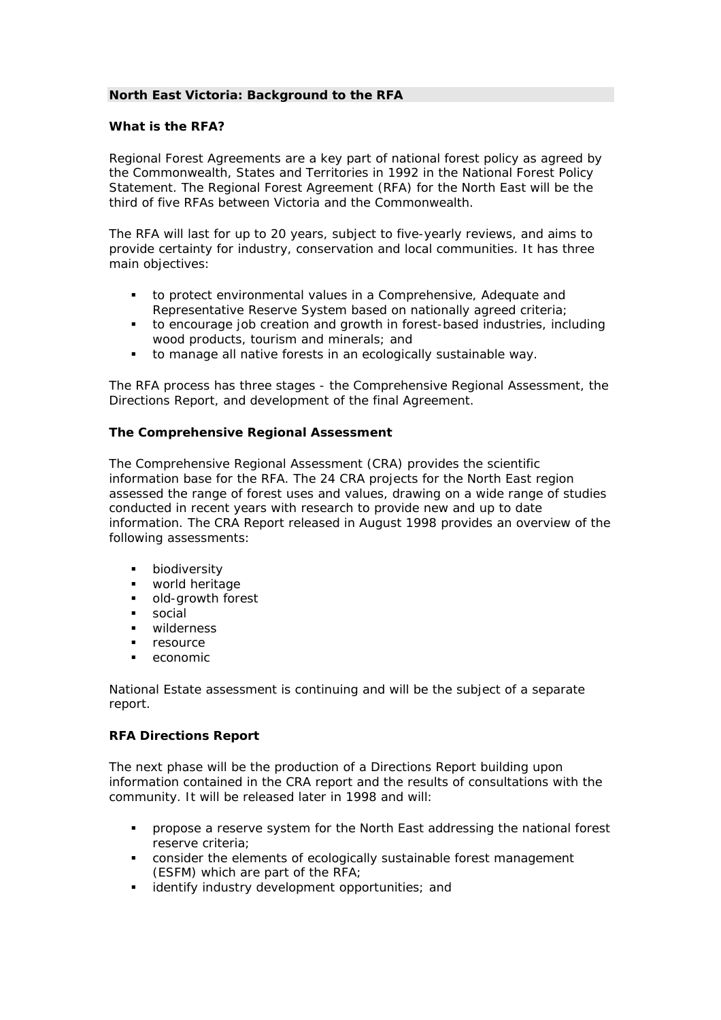# **North East Victoria: Background to the RFA**

## **What is the RFA?**

Regional Forest Agreements are a key part of national forest policy as agreed by the Commonwealth, States and Territories in 1992 in the National Forest Policy Statement. The Regional Forest Agreement (RFA) for the North East will be the third of five RFAs between Victoria and the Commonwealth.

The RFA will last for up to 20 years, subject to five-yearly reviews, and aims to provide certainty for industry, conservation and local communities. It has three main objectives:

- to protect environmental values in a Comprehensive, Adequate and Representative Reserve System based on nationally agreed criteria;
- to encourage job creation and growth in forest-based industries, including wood products, tourism and minerals; and
- to manage all native forests in an ecologically sustainable way.

The RFA process has three stages - the Comprehensive Regional Assessment, the Directions Report, and development of the final Agreement.

## **The Comprehensive Regional Assessment**

The Comprehensive Regional Assessment (CRA) provides the scientific information base for the RFA. The 24 CRA projects for the North East region assessed the range of forest uses and values, drawing on a wide range of studies conducted in recent years with research to provide new and up to date information. The CRA Report released in August 1998 provides an overview of the following assessments:

- **•** biodiversity
- **•** world heritage
- old-growth forest
- social
- wilderness
- resource
- economic

National Estate assessment is continuing and will be the subject of a separate report.

#### **RFA Directions Report**

The next phase will be the production of a Directions Report building upon information contained in the CRA report and the results of consultations with the community. It will be released later in 1998 and will:

- propose a reserve system for the North East addressing the national forest reserve criteria;
- consider the elements of ecologically sustainable forest management (ESFM) which are part of the RFA;
- identify industry development opportunities; and